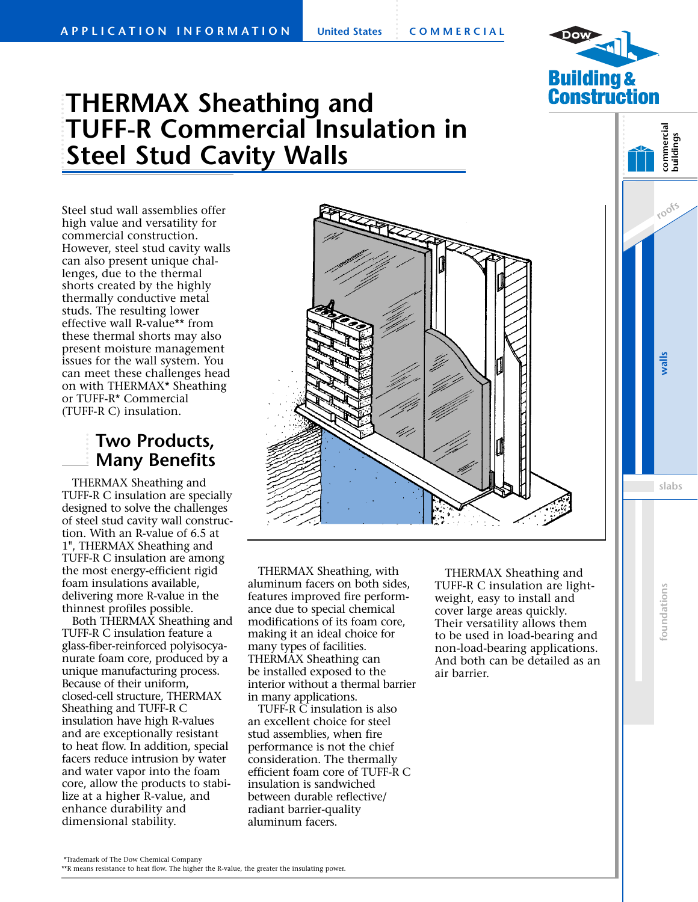

# **THERMAX Sheathing and TUFF-R Commercial Insulation in Steel Stud Cavity Walls**

Steel stud wall assemblies offer high value and versatility for commercial construction. However, steel stud cavity walls can also present unique challenges, due to the thermal shorts created by the highly thermally conductive metal studs. The resulting lower effective wall R-value\*\* from these thermal shorts may also present moisture management issues for the wall system. You can meet these challenges head on with THERMAX\* Sheathing or TUFF-R\* Commercial (TUFF-R C) insulation.

## **Two Products, Many Benefits**

THERMAX Sheathing and TUFF-R C insulation are specially designed to solve the challenges of steel stud cavity wall construction. With an R-value of 6.5 at 1", THERMAX Sheathing and TUFF-R C insulation are among the most energy-efficient rigid foam insulations available, delivering more R-value in the thinnest profiles possible.

Both THERMAX Sheathing and TUFF-R C insulation feature a glass-fiber-reinforced polyisocyanurate foam core, produced by a unique manufacturing process. Because of their uniform, closed-cell structure, THERMAX Sheathing and TUFF-R C insulation have high R-values and are exceptionally resistant to heat flow. In addition, special facers reduce intrusion by water and water vapor into the foam core, allow the products to stabilize at a higher R-value, and enhance durability and dimensional stability.



THERMAX Sheathing, with aluminum facers on both sides, features improved fire performance due to special chemical modifications of its foam core, making it an ideal choice for many types of facilities. THERMAX Sheathing can be installed exposed to the interior without a thermal barrier in many applications.

TUFF-R C insulation is also an excellent choice for steel stud assemblies, when fire performance is not the chief consideration. The thermally efficient foam core of TUFF-R C insulation is sandwiched between durable reflective/ radiant barrier-quality aluminum facers.

THERMAX Sheathing and TUFF-R C insulation are lightweight, easy to install and cover large areas quickly. Their versatility allows them to be used in load-bearing and non-load-bearing applications. And both can be detailed as an air barrier.

**roofs commercial buildings**

<sup>\*\*</sup>R means resistance to heat flow. The higher the R-value, the greater the insulating power.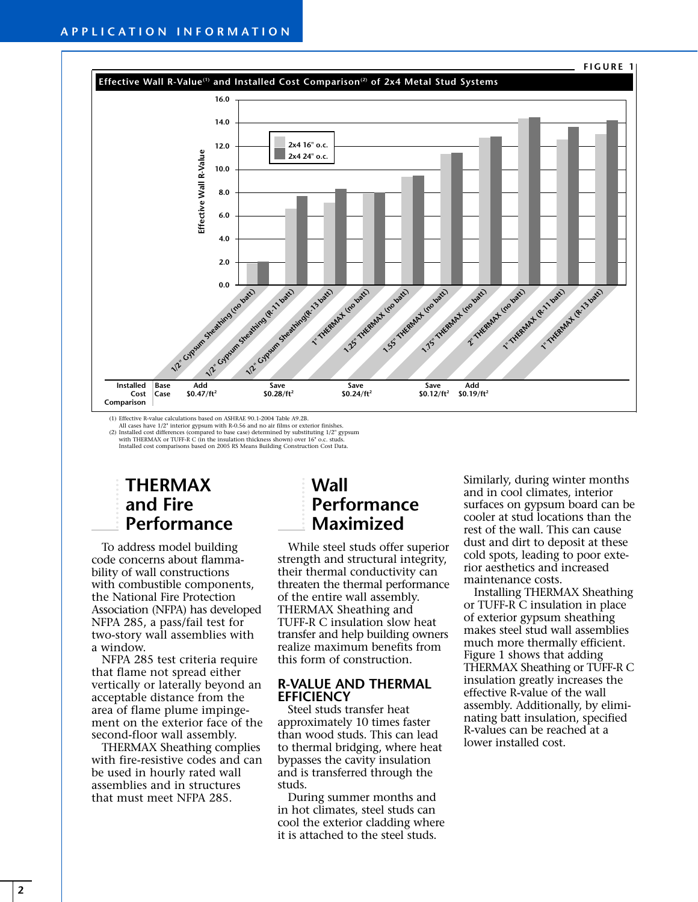

All cases have 1/2" interior gypsum with R-0.56 and no air films or exterior finishes.<br>(2) Installed cost differences (compared to base case) determined by substituting 1/2" gypsum<br>with THERMAX or TUFF-R C (in the insulati Installed cost comparisons based on 2005 RS Means Building Construction Cost Data.

## **THERMAX and Fire Performance**

To address model building code concerns about flammability of wall constructions with combustible components, the National Fire Protection Association (NFPA) has developed NFPA 285, a pass/fail test for two-story wall assemblies with a window.

NFPA 285 test criteria require that flame not spread either vertically or laterally beyond an acceptable distance from the area of flame plume impingement on the exterior face of the second-floor wall assembly.

THERMAX Sheathing complies with fire-resistive codes and can be used in hourly rated wall assemblies and in structures that must meet NFPA 285.

## **Wall Performance Maximized**

While steel studs offer superior strength and structural integrity, their thermal conductivity can threaten the thermal performance of the entire wall assembly. THERMAX Sheathing and TUFF-R C insulation slow heat transfer and help building owners realize maximum benefits from this form of construction.

#### **R-VALUE AND THERMAL EFFICIENCY**

Steel studs transfer heat approximately 10 times faster than wood studs. This can lead to thermal bridging, where heat bypasses the cavity insulation and is transferred through the studs.

During summer months and in hot climates, steel studs can cool the exterior cladding where it is attached to the steel studs.

Similarly, during winter months and in cool climates, interior surfaces on gypsum board can be cooler at stud locations than the rest of the wall. This can cause dust and dirt to deposit at these cold spots, leading to poor exterior aesthetics and increased maintenance costs.

Installing THERMAX Sheathing or TUFF-R C insulation in place of exterior gypsum sheathing makes steel stud wall assemblies much more thermally efficient. Figure 1 shows that adding THERMAX Sheathing or TUFF-R C insulation greatly increases the effective R-value of the wall assembly. Additionally, by eliminating batt insulation, specified R-values can be reached at a lower installed cost.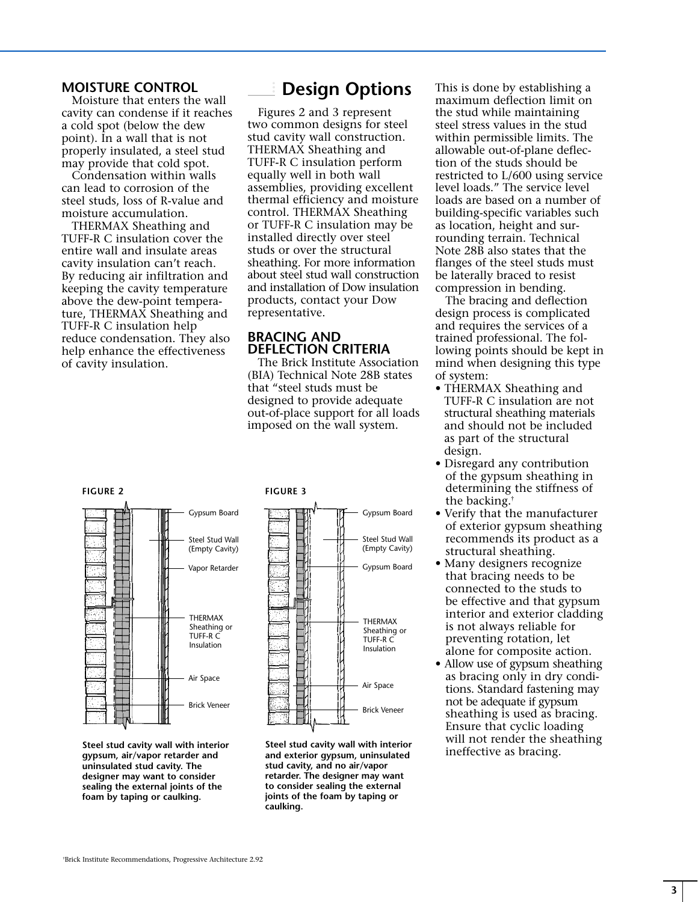#### **MOISTURE CONTROL**

Moisture that enters the wall cavity can condense if it reaches a cold spot (below the dew point). In a wall that is not properly insulated, a steel stud may provide that cold spot.

Condensation within walls can lead to corrosion of the steel studs, loss of R-value and moisture accumulation.

THERMAX Sheathing and TUFF-R C insulation cover the entire wall and insulate areas cavity insulation can't reach. By reducing air infiltration and keeping the cavity temperature above the dew-point temperature, THERMAX Sheathing and TUFF-R C insulation help reduce condensation. They also help enhance the effectiveness of cavity insulation.

## **Design Options**

Figures 2 and 3 represent two common designs for steel stud cavity wall construction. THERMAX Sheathing and TUFF-R C insulation perform equally well in both wall assemblies, providing excellent thermal efficiency and moisture control. THERMAX Sheathing or TUFF-R C insulation may be installed directly over steel studs or over the structural sheathing. For more information about steel stud wall construction and installation of Dow insulation products, contact your Dow representative.

### **BRACING AND DEFLECTION CRITERIA**

The Brick Institute Association (BIA) Technical Note 28B states that "steel studs must be designed to provide adequate out-of-place support for all loads imposed on the wall system.

This is done by establishing a maximum deflection limit on the stud while maintaining steel stress values in the stud within permissible limits. The allowable out-of-plane deflection of the studs should be restricted to L/600 using service level loads." The service level loads are based on a number of building-specific variables such as location, height and surrounding terrain. Technical Note 28B also states that the flanges of the steel studs must be laterally braced to resist compression in bending.

The bracing and deflection design process is complicated and requires the services of a trained professional. The following points should be kept in mind when designing this type of system:

- THERMAX Sheathing and TUFF-R C insulation are not structural sheathing materials and should not be included as part of the structural design.
- Disregard any contribution of the gypsum sheathing in determining the stiffness of the backing.†
- Verify that the manufacturer of exterior gypsum sheathing recommends its product as a structural sheathing.
- Many designers recognize that bracing needs to be connected to the studs to be effective and that gypsum interior and exterior cladding is not always reliable for preventing rotation, let alone for composite action.
- Allow use of gypsum sheathing as bracing only in dry conditions. Standard fastening may not be adequate if gypsum sheathing is used as bracing. Ensure that cyclic loading will not render the sheathing ineffective as bracing.



**Steel stud cavity wall with interior gypsum, air/vapor retarder and uninsulated stud cavity. The designer may want to consider sealing the external joints of the foam by taping or caulking.**





**Steel stud cavity wall with interior and exterior gypsum, uninsulated stud cavity, and no air/vapor retarder. The designer may want to consider sealing the external joints of the foam by taping or caulking.**